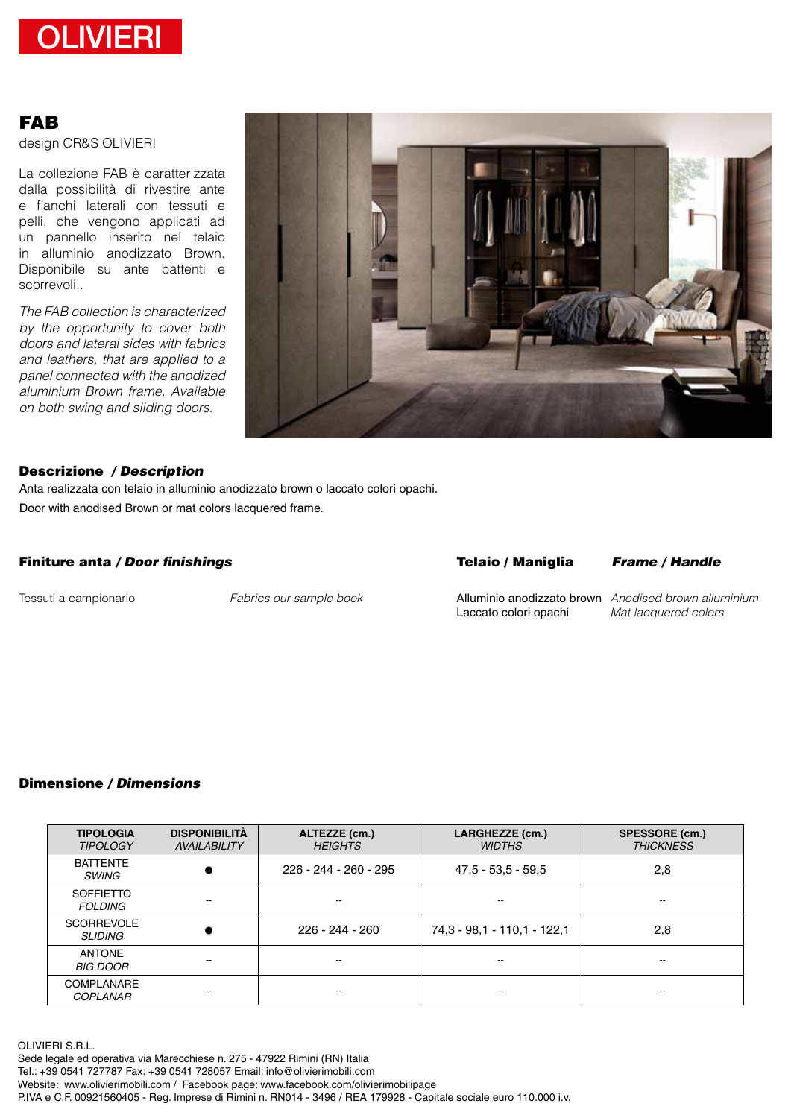

# FAB

design CR&S OLIVIERI

La collezione FAB è caratterizzata dalla possibilità di rivestire ante e fianchi laterali con tessuti e pelli, che vengono applicati ad un pannello inserito nel telaio in alluminio anodizzato Brown. Disponibile su ante battenti e scorrevoli..

*The FAB collection is characterized by the opportunity to cover both doors and lateral sides with fabrics and leathers, that are applied to a panel connected with the anodized aluminium Brown frame. Available on both swing and sliding doors.*



#### */ Description* Descrizione

Door with anodised Brown or mat colors lacquered frame. Anta realizzata con telaio in alluminio anodizzato brown o laccato colori opachi.

### Finiture anta / Door finishings

## */ Door finishings Frame / Handle*

*Fabrics our sample book* Tessuti a campionario Alluminio anodizzato brown Laccato colori opachi

*Anodised brown alluminium Mat lacquered colors*

## */ Dimensions* Dimensione

| <b>TIPOLOGIA</b><br><b>TIPOLOGY</b>  | <b>DISPONIBILITÀ</b><br><b>AVAILABILITY</b> | ALTEZZE (cm.)<br><b>HEIGHTS</b> | LARGHEZZE (cm.)<br><b>WIDTHS</b> | SPESSORE (cm.)<br><b>THICKNESS</b> |
|--------------------------------------|---------------------------------------------|---------------------------------|----------------------------------|------------------------------------|
| <b>BATTENTE</b><br><b>SWING</b>      |                                             | 226 - 244 - 260 - 295           | $47.5 - 53.5 - 59.5$             | 2,8                                |
| <b>SOFFIETTO</b><br><b>FOLDING</b>   | $- -$                                       | --                              | --                               | --                                 |
| <b>SCORREVOLE</b><br><b>SLIDING</b>  |                                             | 226 - 244 - 260                 | 74, 3 - 98, 1 - 110, 1 - 122, 1  | 2,8                                |
| <b>ANTONE</b><br><b>BIG DOOR</b>     | $- -$                                       | --                              | --                               | --                                 |
| <b>COMPLANARE</b><br><b>COPLANAR</b> | $- -$                                       | --                              | --                               | --                                 |

OLIVIERI S.R.L. Sede legale ed operativa via Marecchiese n. 275 - 47922 Rimini (RN) Italia Tel.: +39 0541 727787 Fax: +39 0541 728057 Email: info@olivierimobili.com Website: www.olivierimobili.com / Facebook page: www.facebook.com/olivierimobilipage P.IVA e C.F. 00921560405 - Reg. Imprese di Rimini n. RN014 - 3496 / REA 179928 - Capitale sociale euro 110.000 i.v.